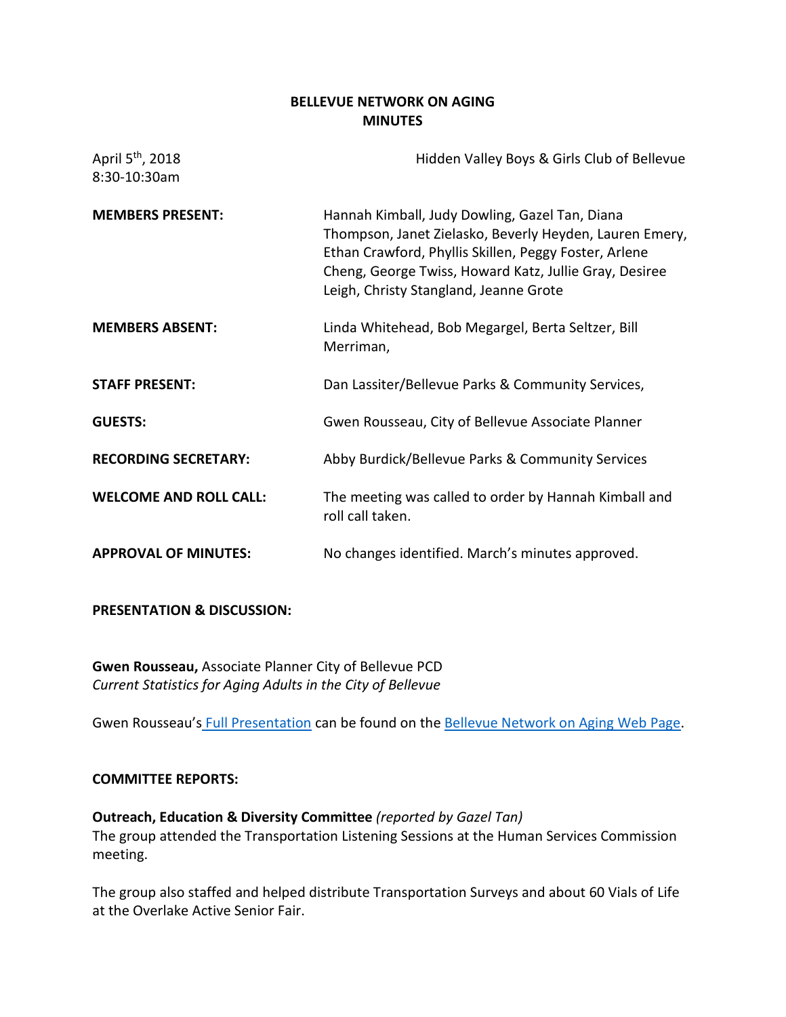# **BELLEVUE NETWORK ON AGING MINUTES**

| April 5 <sup>th</sup> , 2018<br>8:30-10:30am | Hidden Valley Boys & Girls Club of Bellevue                                                                                                                                                                                                                            |
|----------------------------------------------|------------------------------------------------------------------------------------------------------------------------------------------------------------------------------------------------------------------------------------------------------------------------|
| <b>MEMBERS PRESENT:</b>                      | Hannah Kimball, Judy Dowling, Gazel Tan, Diana<br>Thompson, Janet Zielasko, Beverly Heyden, Lauren Emery,<br>Ethan Crawford, Phyllis Skillen, Peggy Foster, Arlene<br>Cheng, George Twiss, Howard Katz, Jullie Gray, Desiree<br>Leigh, Christy Stangland, Jeanne Grote |
| <b>MEMBERS ABSENT:</b>                       | Linda Whitehead, Bob Megargel, Berta Seltzer, Bill<br>Merriman,                                                                                                                                                                                                        |
| <b>STAFF PRESENT:</b>                        | Dan Lassiter/Bellevue Parks & Community Services,                                                                                                                                                                                                                      |
| <b>GUESTS:</b>                               | Gwen Rousseau, City of Bellevue Associate Planner                                                                                                                                                                                                                      |
| <b>RECORDING SECRETARY:</b>                  | Abby Burdick/Bellevue Parks & Community Services                                                                                                                                                                                                                       |
| <b>WELCOME AND ROLL CALL:</b>                | The meeting was called to order by Hannah Kimball and<br>roll call taken.                                                                                                                                                                                              |
| <b>APPROVAL OF MINUTES:</b>                  | No changes identified. March's minutes approved.                                                                                                                                                                                                                       |

# **PRESENTATION & DISCUSSION:**

**Gwen Rousseau,** Associate Planner City of Bellevue PCD *Current Statistics for Aging Adults in the City of Bellevue*

Gwen Rousseau's [Full Presentation](https://bellevuewa.gov/UserFiles/Servers/Server_4779004/File/pdf/Parks/presentation_4-3-15_demographics.pdf) can be found on the [Bellevue Network on Aging Web Page.](https://bellevuewa.gov/city-government/departments/community-services/boards-and-commissions/network-on-aging/)

### **COMMITTEE REPORTS:**

**Outreach, Education & Diversity Committee** *(reported by Gazel Tan)* The group attended the Transportation Listening Sessions at the Human Services Commission meeting.

The group also staffed and helped distribute Transportation Surveys and about 60 Vials of Life at the Overlake Active Senior Fair.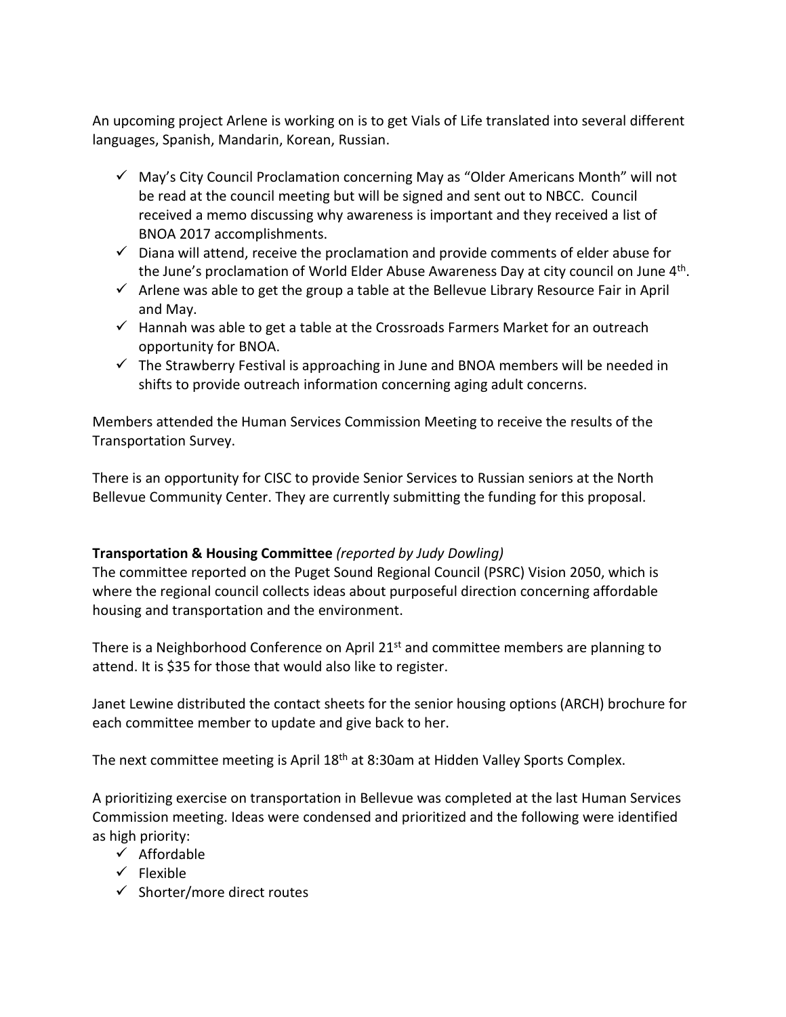An upcoming project Arlene is working on is to get Vials of Life translated into several different languages, Spanish, Mandarin, Korean, Russian.

- $\checkmark$  May's City Council Proclamation concerning May as "Older Americans Month" will not be read at the council meeting but will be signed and sent out to NBCC. Council received a memo discussing why awareness is important and they received a list of BNOA 2017 accomplishments.
- $\checkmark$  Diana will attend, receive the proclamation and provide comments of elder abuse for the June's proclamation of World Elder Abuse Awareness Day at city council on June 4<sup>th</sup>.
- $\checkmark$  Arlene was able to get the group a table at the Bellevue Library Resource Fair in April and May.
- $\checkmark$  Hannah was able to get a table at the Crossroads Farmers Market for an outreach opportunity for BNOA.
- $\checkmark$  The Strawberry Festival is approaching in June and BNOA members will be needed in shifts to provide outreach information concerning aging adult concerns.

Members attended the Human Services Commission Meeting to receive the results of the Transportation Survey.

There is an opportunity for CISC to provide Senior Services to Russian seniors at the North Bellevue Community Center. They are currently submitting the funding for this proposal.

# **Transportation & Housing Committee** *(reported by Judy Dowling)*

The committee reported on the Puget Sound Regional Council (PSRC) Vision 2050, which is where the regional council collects ideas about purposeful direction concerning affordable housing and transportation and the environment.

There is a Neighborhood Conference on April 21<sup>st</sup> and committee members are planning to attend. It is \$35 for those that would also like to register.

Janet Lewine distributed the contact sheets for the senior housing options (ARCH) brochure for each committee member to update and give back to her.

The next committee meeting is April 18<sup>th</sup> at 8:30am at Hidden Valley Sports Complex.

A prioritizing exercise on transportation in Bellevue was completed at the last Human Services Commission meeting. Ideas were condensed and prioritized and the following were identified as high priority:

- $\checkmark$  Affordable
- $\checkmark$  Flexible
- $\checkmark$  Shorter/more direct routes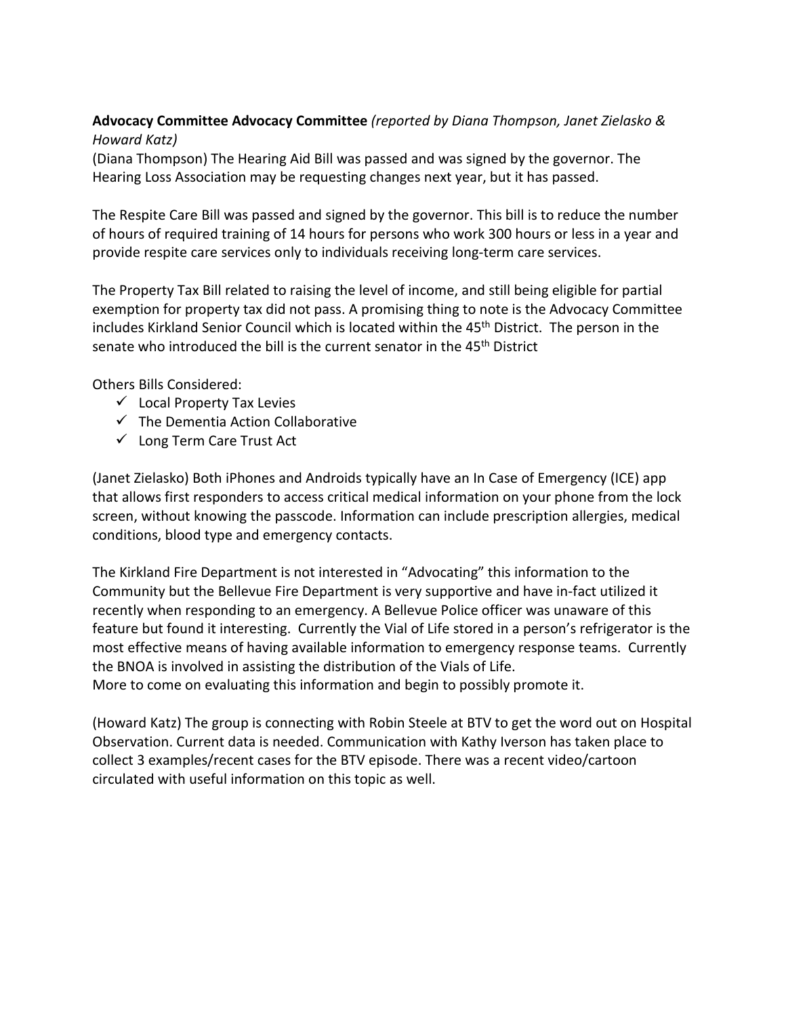# **Advocacy Committee Advocacy Committee** *(reported by Diana Thompson, Janet Zielasko & Howard Katz)*

(Diana Thompson) The Hearing Aid Bill was passed and was signed by the governor. The Hearing Loss Association may be requesting changes next year, but it has passed.

The Respite Care Bill was passed and signed by the governor. This bill is to reduce the number of hours of required training of 14 hours for persons who work 300 hours or less in a year and provide respite care services only to individuals receiving long-term care services.

The Property Tax Bill related to raising the level of income, and still being eligible for partial exemption for property tax did not pass. A promising thing to note is the Advocacy Committee includes Kirkland Senior Council which is located within the 45<sup>th</sup> District. The person in the senate who introduced the bill is the current senator in the 45<sup>th</sup> District

Others Bills Considered:

- $\checkmark$  Local Property Tax Levies
- $\checkmark$  The Dementia Action Collaborative
- $\checkmark$  Long Term Care Trust Act

(Janet Zielasko) Both [iPhones](https://www.aarp.org/home-family/personal-technology/info-2017/ways-smartphones-changed-us-fd.html) and Androids typically have an In Case of Emergency (ICE) app that allows first responders to access critical medical information on your phone from the lock screen, without knowing the passcode. Information can include prescription allergies, medical conditions, blood type and emergency contacts.

The Kirkland Fire Department is not interested in "Advocating" this information to the Community but the Bellevue Fire Department is very supportive and have in-fact utilized it recently when responding to an emergency. A Bellevue Police officer was unaware of this feature but found it interesting. Currently the Vial of Life stored in a person's refrigerator is the most effective means of having available information to emergency response teams. Currently the BNOA is involved in assisting the distribution of the Vials of Life.

More to come on evaluating this information and begin to possibly promote it.

(Howard Katz) The group is connecting with Robin Steele at BTV to get the word out on Hospital Observation. Current data is needed. Communication with Kathy Iverson has taken place to collect 3 examples/recent cases for the BTV episode. There was a recent video/cartoon circulated with useful information on this topic as well.